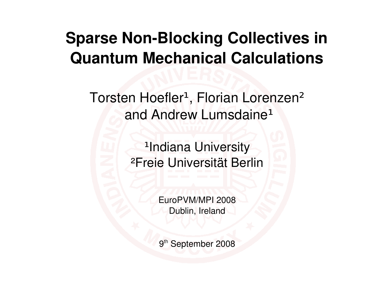#### **Sparse Non-Blocking Collectives in Quantum Mechanical Calculations**

Torsten Hoefler<sup>1</sup>, Florian Lorenzen<sup>2</sup> and Andrew Lumsdaine<sup>1</sup>

> <sup>1</sup>Indiana University ²Freie Universität Berlin

> > EuroPVM/MPI 2008 Dublin, Ireland

9<sup>th</sup> September 2008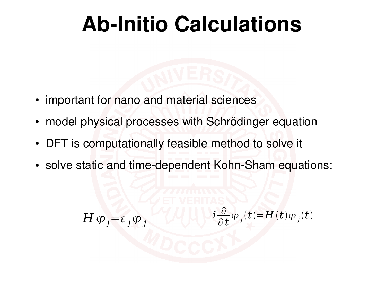#### **Ab-Initio Calculations**

- important for nano and material sciences
- model physical processes with Schrödinger equation
- DFT is computationally feasible method to solve it
- solve static and time-dependent Kohn-Sham equations:

 $H \varphi_i = \varepsilon_j \varphi_j$ *i* ∂ ∂ *t*  $\varphi_j(t)$ =*H*(*t*) $\varphi_j(t)$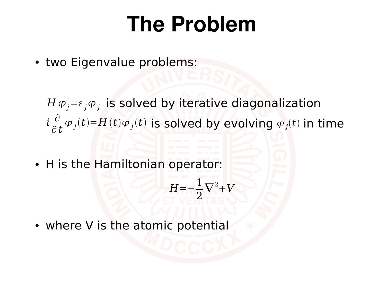#### **The Problem**

• two Eigenvalue problems:

 $H \varphi_j = \varepsilon_j \varphi_j$  is solved by iterative diagonalization  $i\frac{\partial}{\partial t}\varphi_j(t)=H(t)\varphi_j(t)$  is solved by evolving  $\varphi_j(t)$  in time ∂ ∂ *t*  $\varphi_j(t) = H(t) \varphi_j(t)$  is solved by evolving  $\varphi_j(t)$ 

• H is the Hamiltonian operator:

$$
H = -\frac{1}{2}\nabla^2 + V
$$

• where V is the atomic potential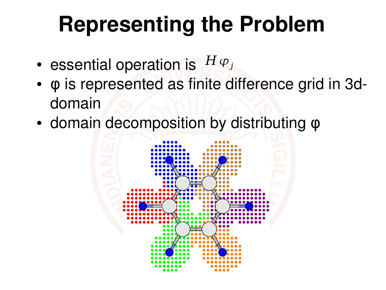# **Representing the Problem**

- essential operation is  $H\varphi_j$
- φ is represented as finite difference grid in 3ddomain
- domain decomposition by distributing  $φ$

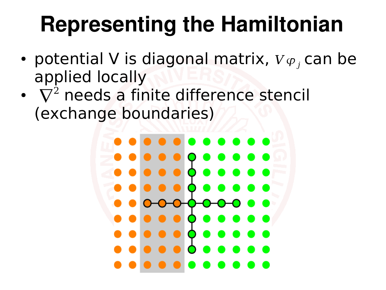### **Representing the Hamiltonian**

- potential V is diagonal matrix,  $V\varphi_j$  can be applied locally
- $\bullet$   $\nabla^2$  needs a finite difference stencil (exchange boundaries)

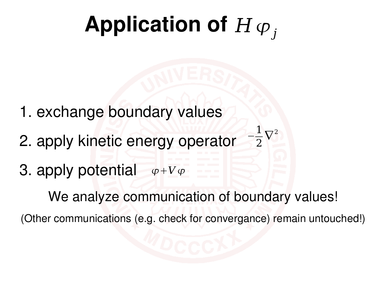# Application of  $H \varphi_j$

- 1. exchange boundary values
- 2. apply kinetic energy operator −
- 3. apply potential  $\varphi+V\varphi$

We analyze communication of boundary values!

(Other communications (e.g. check for convergance) remain untouched!)

1

 $\nabla^2$ 

2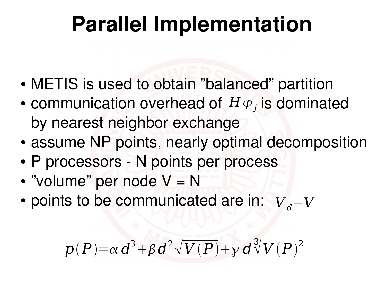### **Parallel Implementation**

- METIS is used to obtain "balanced" partition
- communication overhead of  $H\varphi_j$  is dominated by nearest neighbor exchange
- assume NP points, nearly optimal decomposition
- P processors N points per process
- "volume" per node V = N
- points to be communicated are in:  $V$ <sub>d</sub>−*V*

 $p(P) = \alpha d^3 + \beta d^2 \sqrt{V(P)} + \gamma d^2$ 3  $\sqrt[3]{V(P)}^2$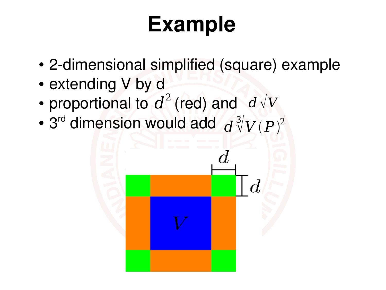# **Example**

- 2-dimensional simplified (square) example
- extending V by d
- proportional to  $d^2$  (red) and  $d\sqrt{V}$
- 3<sup>rd</sup> dimension would add d 3  $\sqrt[3]{V(P)^2}$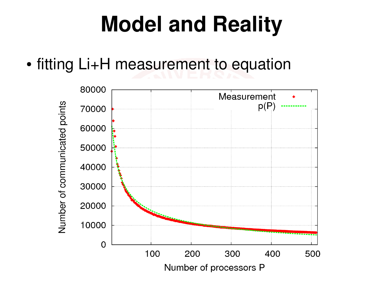### **Model and Reality**

• fitting Li+H measurement to equation

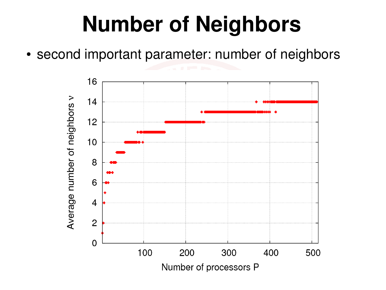### **Number of Neighbors**

• second important parameter: number of neighbors

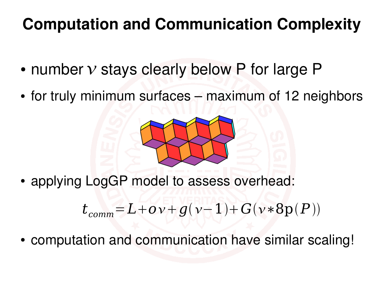#### **Computation and Communication Complexity**

- number  $v$  stays clearly below P for large P
- for truly minimum surfaces maximum of 12 neighbors



• applying LogGP model to assess overhead:

 $t_{comm} = L + o \nu + g(\nu - 1) + G(\nu * 8p(P))$ 

• computation and communication have similar scaling!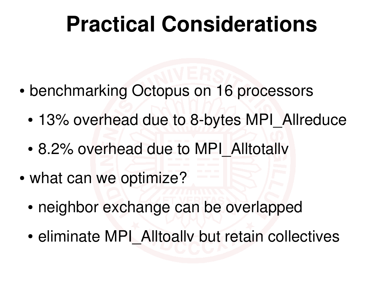#### **Practical Considerations**

- benchmarking Octopus on 16 processors
	- 13% overhead due to 8-bytes MPI Allreduce
	- 8.2% overhead due to MPI\_Alltotally
- what can we optimize?
	- neighbor exchange can be overlapped
	- eliminate MPI\_Alltoally but retain collectives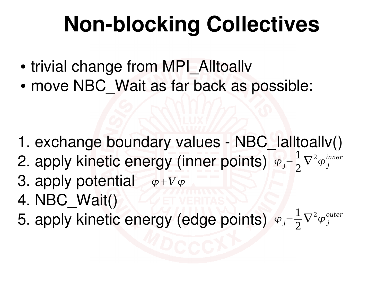# **Non-blocking Collectives**

- trivial change from MPI\_Alltoallv
- move NBC Wait as far back as possible:

- 1. exchange boundary values NBC\_Ialltoallv()
- 2. apply kinetic energy (inner points) <sub>Фj</sub>− 1 2  $\nabla^2\varphi^{inner}_j$
- 3. apply potential  $\phi+V\phi$
- 4. NBC\_Wait()
- 5. apply kinetic energy (edge points)  $\varphi_j$ − 1 2  $\nabla^2\varphi^{outer}_j$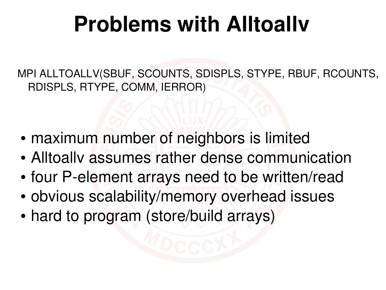### **Problems with Alltoallv**

MPI ALLTOALLV(SBUF, SCOUNTS, SDISPLS, STYPE, RBUF, RCOUNTS, RDISPLS, RTYPE, COMM, IERROR)

- maximum number of neighbors is limited
- Alltoally assumes rather dense communication
- four P-element arrays need to be written/read
- obvious scalability/memory overhead issues
- hard to program (store/build arrays)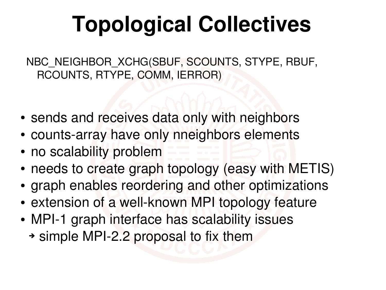# **Topological Collectives**

NBC\_NEIGHBOR\_XCHG(SBUF, SCOUNTS, STYPE, RBUF, RCOUNTS, RTYPE, COMM, IERROR)

- sends and receives data only with neighbors
- counts-array have only nneighbors elements
- no scalability problem
- needs to create graph topology (easy with METIS)
- graph enables reordering and other optimizations
- extension of a well-known MPI topology feature
- MPI-1 graph interface has scalability issues
	- ➔ simple MPI2.2 proposal to fix them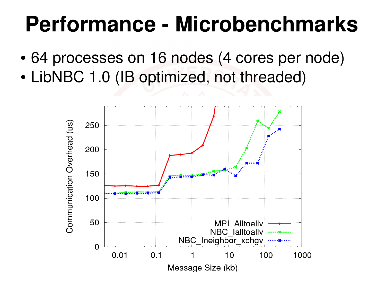#### **Performance - Microbenchmarks**

- 64 processes on 16 nodes (4 cores per node)
- LibNBC 1.0 (IB optimized, not threaded)

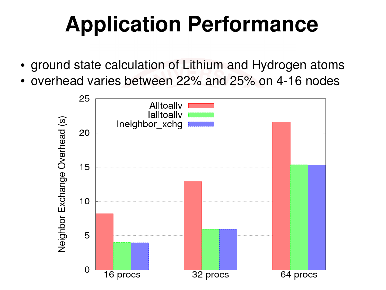# **Application Performance**

- ground state calculation of Lithium and Hydrogen atoms
- overhead varies between 22% and 25% on 4-16 nodes